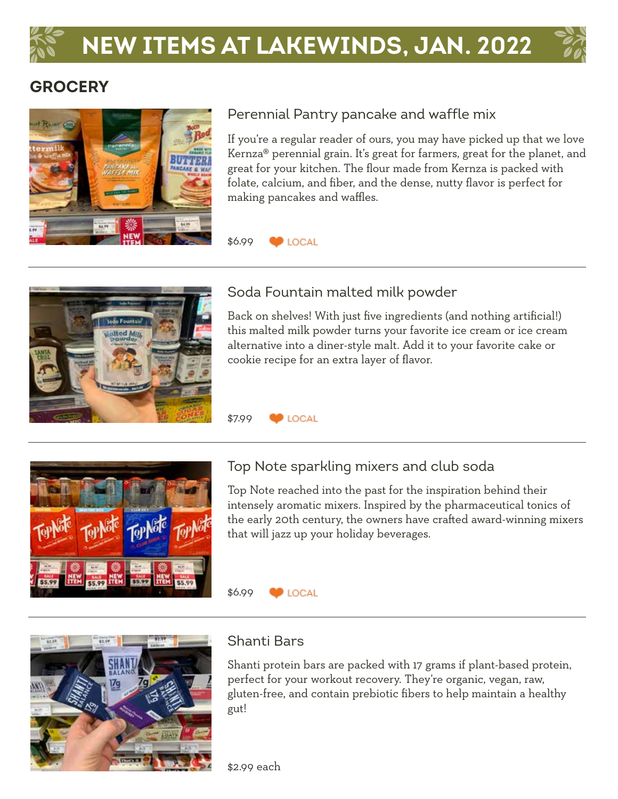# **NEW ITEMS AT LAKEWINDS, JAN. 2022**

 $\blacksquare$  LOCAL

**D** LOCAL

\$6.99

\$7.99





#### Perennial Pantry pancake and waffle mix

If you're a regular reader of ours, you may have picked up that we love Kernza® perennial grain. It's great for farmers, great for the planet, and great for your kitchen. The flour made from Kernza is packed with folate, calcium, and fiber, and the dense, nutty flavor is perfect for making pancakes and waffles.



#### Soda Fountain malted milk powder

Back on shelves! With just five ingredients (and nothing artificial!) this malted milk powder turns your favorite ice cream or ice cream alternative into a diner-style malt. Add it to your favorite cake or cookie recipe for an extra layer of flavor.



#### Top Note sparkling mixers and club soda

Top Note reached into the past for the inspiration behind their intensely aromatic mixers. Inspired by the pharmaceutical tonics of the early 20th century, the owners have crafted award-winning mixers that will jazz up your holiday beverages.

#### \$6.99  $\bigcirc$  LOCAL



#### Shanti Bars

Shanti protein bars are packed with 17 grams if plant-based protein, perfect for your workout recovery. They're organic, vegan, raw, gluten-free, and contain prebiotic fibers to help maintain a healthy gut!

\$2.99 each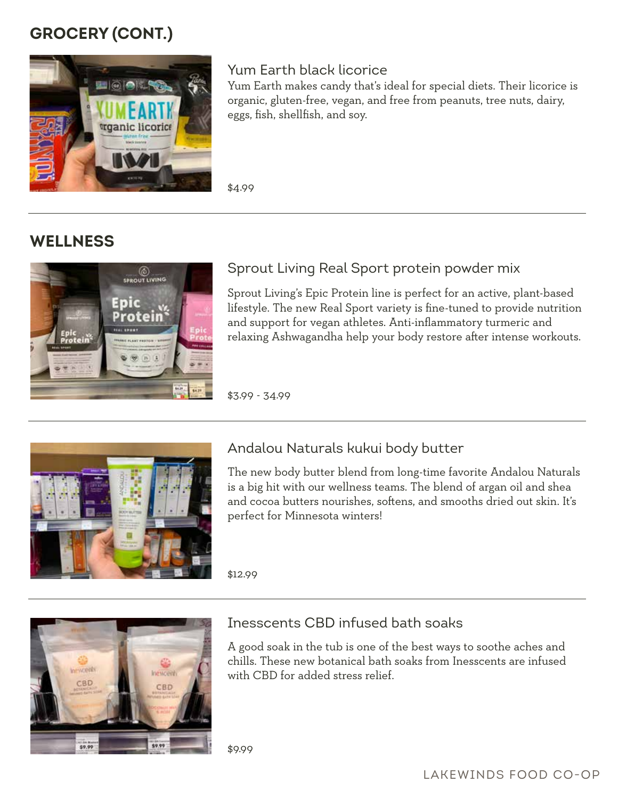# **GROCERY (cont.)**



#### Yum Earth black licorice

Yum Earth makes candy that's ideal for special diets. Their licorice is organic, gluten-free, vegan, and free from peanuts, tree nuts, dairy, eggs, fish, shellfish, and soy.

\$4.99

# **WELLNESS**



### Sprout Living Real Sport protein powder mix

Sprout Living's Epic Protein line is perfect for an active, plant-based lifestyle. The new Real Sport variety is fine-tuned to provide nutrition and support for vegan athletes. Anti-inflammatory turmeric and relaxing Ashwagandha help your body restore after intense workouts.

\$3.99 - 34.99



#### Andalou Naturals kukui body butter

The new body butter blend from long-time favorite Andalou Naturals is a big hit with our wellness teams. The blend of argan oil and shea and cocoa butters nourishes, softens, and smooths dried out skin. It's perfect for Minnesota winters!

\$12.99



#### Inesscents CBD infused bath soaks

A good soak in the tub is one of the best ways to soothe aches and chills. These new botanical bath soaks from Inesscents are infused with CBD for added stress relief.

\$9.99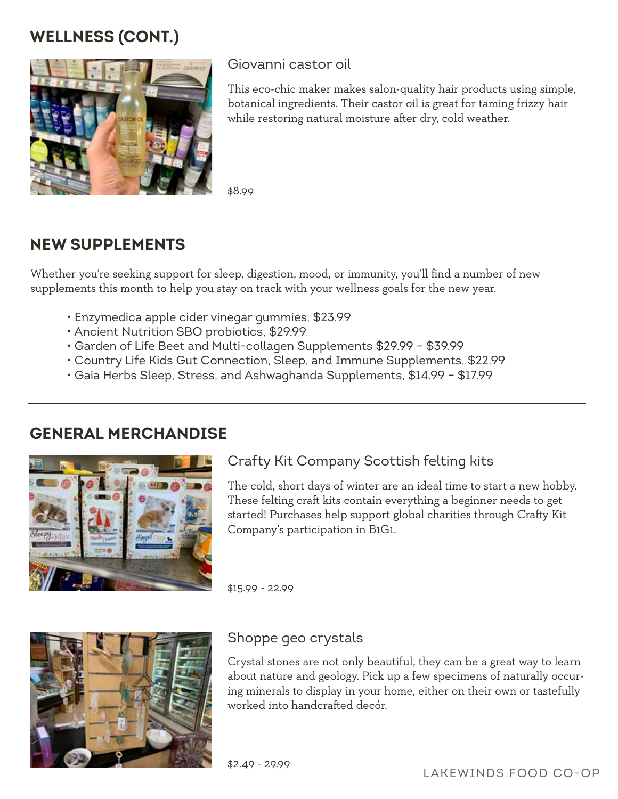# **WELLNESS (cont.)**



#### Giovanni castor oil

This eco-chic maker makes salon-quality hair products using simple, botanical ingredients. Their castor oil is great for taming frizzy hair while restoring natural moisture after dry, cold weather.

\$8.99

# **NEW SUPPLEMENTS**

Whether you're seeking support for sleep, digestion, mood, or immunity, you'll find a number of new supplements this month to help you stay on track with your wellness goals for the new year.

- Enzymedica apple cider vinegar gummies, \$23.99
- Ancient Nutrition SBO probiotics, \$29.99
- Garden of Life Beet and Multi-collagen Supplements \$29.99 \$39.99
- Country Life Kids Gut Connection, Sleep, and Immune Supplements, \$22.99
- Gaia Herbs Sleep, Stress, and Ashwaghanda Supplements, \$14.99 \$17.99

### **GENERAL MERCHANDISE**



### Crafty Kit Company Scottish felting kits

The cold, short days of winter are an ideal time to start a new hobby. These felting craft kits contain everything a beginner needs to get started! Purchases help support global charities through Crafty Kit Company's participation in B1G1.

\$15.99 - 22.99



#### Shoppe geo crystals

Crystal stones are not only beautiful, they can be a great way to learn about nature and geology. Pick up a few specimens of naturally occuring minerals to display in your home, either on their own or tastefully worked into handcrafted decór.